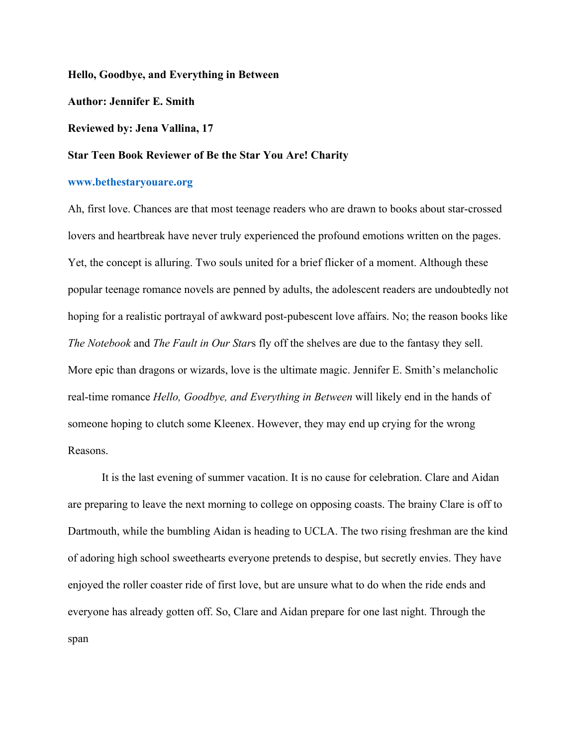**Hello, Goodbye, and Everything in Between**

**Author: Jennifer E. Smith**

**Reviewed by: Jena Vallina, 17**

## **Star Teen Book Reviewer of Be the Star You Are! Charity**

## **www.bethestaryouare.org**

Ah, first love. Chances are that most teenage readers who are drawn to books about star-crossed lovers and heartbreak have never truly experienced the profound emotions written on the pages. Yet, the concept is alluring. Two souls united for a brief flicker of a moment. Although these popular teenage romance novels are penned by adults, the adolescent readers are undoubtedly not hoping for a realistic portrayal of awkward post-pubescent love affairs. No; the reason books like *The Notebook* and *The Fault in Our Star*s fly off the shelves are due to the fantasy they sell. More epic than dragons or wizards, love is the ultimate magic. Jennifer E. Smith's melancholic real-time romance *Hello, Goodbye, and Everything in Between* will likely end in the hands of someone hoping to clutch some Kleenex. However, they may end up crying for the wrong Reasons.

It is the last evening of summer vacation. It is no cause for celebration. Clare and Aidan are preparing to leave the next morning to college on opposing coasts. The brainy Clare is off to Dartmouth, while the bumbling Aidan is heading to UCLA. The two rising freshman are the kind of adoring high school sweethearts everyone pretends to despise, but secretly envies. They have enjoyed the roller coaster ride of first love, but are unsure what to do when the ride ends and everyone has already gotten off. So, Clare and Aidan prepare for one last night. Through the span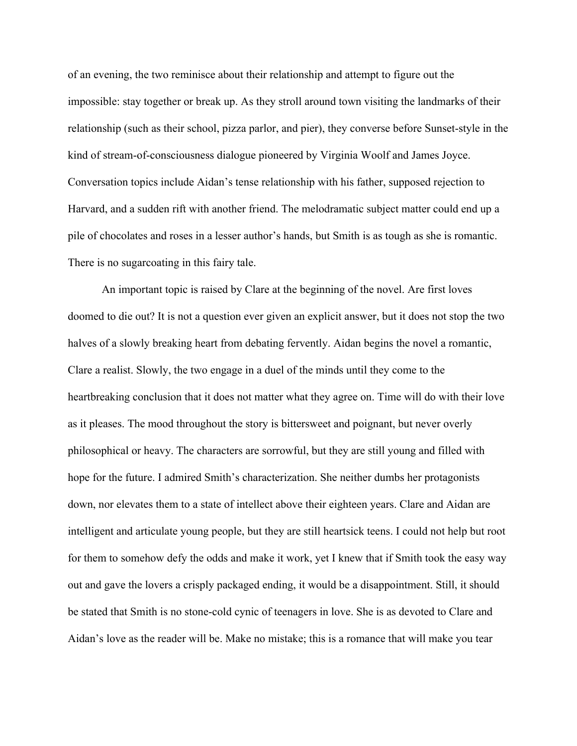of an evening, the two reminisce about their relationship and attempt to figure out the impossible: stay together or break up. As they stroll around town visiting the landmarks of their relationship (such as their school, pizza parlor, and pier), they converse before Sunset-style in the kind of stream-of-consciousness dialogue pioneered by Virginia Woolf and James Joyce. Conversation topics include Aidan's tense relationship with his father, supposed rejection to Harvard, and a sudden rift with another friend. The melodramatic subject matter could end up a pile of chocolates and roses in a lesser author's hands, but Smith is as tough as she is romantic. There is no sugarcoating in this fairy tale.

An important topic is raised by Clare at the beginning of the novel. Are first loves doomed to die out? It is not a question ever given an explicit answer, but it does not stop the two halves of a slowly breaking heart from debating fervently. Aidan begins the novel a romantic, Clare a realist. Slowly, the two engage in a duel of the minds until they come to the heartbreaking conclusion that it does not matter what they agree on. Time will do with their love as it pleases. The mood throughout the story is bittersweet and poignant, but never overly philosophical or heavy. The characters are sorrowful, but they are still young and filled with hope for the future. I admired Smith's characterization. She neither dumbs her protagonists down, nor elevates them to a state of intellect above their eighteen years. Clare and Aidan are intelligent and articulate young people, but they are still heartsick teens. I could not help but root for them to somehow defy the odds and make it work, yet I knew that if Smith took the easy way out and gave the lovers a crisply packaged ending, it would be a disappointment. Still, it should be stated that Smith is no stone-cold cynic of teenagers in love. She is as devoted to Clare and Aidan's love as the reader will be. Make no mistake; this is a romance that will make you tear